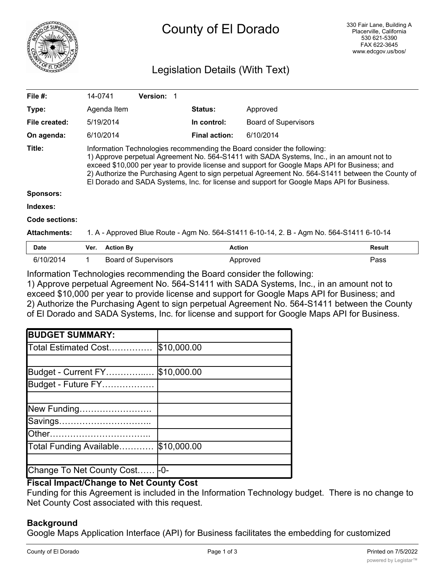

# County of El Dorado

# Legislation Details (With Text)

| File #:             | 14-0741                                                                                                                                                                                                                                                                                                                                                                                                                                                                  | <b>Version:</b> |                      |                             |  |
|---------------------|--------------------------------------------------------------------------------------------------------------------------------------------------------------------------------------------------------------------------------------------------------------------------------------------------------------------------------------------------------------------------------------------------------------------------------------------------------------------------|-----------------|----------------------|-----------------------------|--|
| Type:               | Agenda Item                                                                                                                                                                                                                                                                                                                                                                                                                                                              |                 | <b>Status:</b>       | Approved                    |  |
| File created:       | 5/19/2014                                                                                                                                                                                                                                                                                                                                                                                                                                                                |                 | In control:          | <b>Board of Supervisors</b> |  |
| On agenda:          | 6/10/2014                                                                                                                                                                                                                                                                                                                                                                                                                                                                |                 | <b>Final action:</b> | 6/10/2014                   |  |
| Title:              | Information Technologies recommending the Board consider the following:<br>1) Approve perpetual Agreement No. 564-S1411 with SADA Systems, Inc., in an amount not to<br>exceed \$10,000 per year to provide license and support for Google Maps API for Business; and<br>2) Authorize the Purchasing Agent to sign perpetual Agreement No. 564-S1411 between the County of<br>El Dorado and SADA Systems, Inc. for license and support for Google Maps API for Business. |                 |                      |                             |  |
| <b>Sponsors:</b>    |                                                                                                                                                                                                                                                                                                                                                                                                                                                                          |                 |                      |                             |  |
| Indexes:            |                                                                                                                                                                                                                                                                                                                                                                                                                                                                          |                 |                      |                             |  |
| Code sections:      |                                                                                                                                                                                                                                                                                                                                                                                                                                                                          |                 |                      |                             |  |
| <b>Attachments:</b> | 1. A - Approved Blue Route - Agm No. 564-S1411 6-10-14, 2. B - Agm No. 564-S1411 6-10-14                                                                                                                                                                                                                                                                                                                                                                                 |                 |                      |                             |  |

| <b>Date</b> | Ver. Action By              | Action   | Result |
|-------------|-----------------------------|----------|--------|
| 6/10/2014   | <b>Board of Supervisors</b> | Approved | Pass   |

Information Technologies recommending the Board consider the following:

1) Approve perpetual Agreement No. 564-S1411 with SADA Systems, Inc., in an amount not to exceed \$10,000 per year to provide license and support for Google Maps API for Business; and 2) Authorize the Purchasing Agent to sign perpetual Agreement No. 564-S1411 between the County of El Dorado and SADA Systems, Inc. for license and support for Google Maps API for Business.

| <b>BUDGET SUMMARY:</b>         |             |
|--------------------------------|-------------|
| Total Estimated Cost           | \$10,000.00 |
|                                |             |
| Budget - Current FY            | \$10,000.00 |
| Budget - Future FY             |             |
|                                |             |
| New Funding                    |             |
| Savings                        |             |
|                                |             |
| Total Funding Available        | \$10,000.00 |
|                                |             |
| Change To Net County Cost - 0- |             |

## **Fiscal Impact/Change to Net County Cost**

Funding for this Agreement is included in the Information Technology budget. There is no change to Net County Cost associated with this request.

#### **Background**

Google Maps Application Interface (API) for Business facilitates the embedding for customized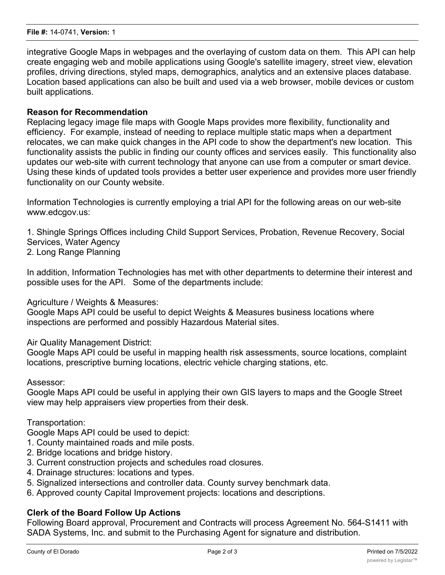integrative Google Maps in webpages and the overlaying of custom data on them. This API can help create engaging web and mobile applications using Google's satellite imagery, street view, elevation profiles, driving directions, styled maps, demographics, analytics and an extensive places database. Location based applications can also be built and used via a web browser, mobile devices or custom built applications.

#### **Reason for Recommendation**

Replacing legacy image file maps with Google Maps provides more flexibility, functionality and efficiency. For example, instead of needing to replace multiple static maps when a department relocates, we can make quick changes in the API code to show the department's new location. This functionality assists the public in finding our county offices and services easily. This functionality also updates our web-site with current technology that anyone can use from a computer or smart device. Using these kinds of updated tools provides a better user experience and provides more user friendly functionality on our County website.

Information Technologies is currently employing a trial API for the following areas on our web-site www.edcgov.us:

1. Shingle Springs Offices including Child Support Services, Probation, Revenue Recovery, Social Services, Water Agency

2. Long Range Planning

In addition, Information Technologies has met with other departments to determine their interest and possible uses for the API. Some of the departments include:

Agriculture / Weights & Measures:

Google Maps API could be useful to depict Weights & Measures business locations where inspections are performed and possibly Hazardous Material sites.

Air Quality Management District:

Google Maps API could be useful in mapping health risk assessments, source locations, complaint locations, prescriptive burning locations, electric vehicle charging stations, etc.

Assessor:

Google Maps API could be useful in applying their own GIS layers to maps and the Google Street view may help appraisers view properties from their desk.

Transportation:

Google Maps API could be used to depict:

- 1. County maintained roads and mile posts.
- 2. Bridge locations and bridge history.
- 3. Current construction projects and schedules road closures.
- 4. Drainage structures: locations and types.
- 5. Signalized intersections and controller data. County survey benchmark data.
- 6. Approved county Capital Improvement projects: locations and descriptions.

#### **Clerk of the Board Follow Up Actions**

Following Board approval, Procurement and Contracts will process Agreement No. 564-S1411 with SADA Systems, Inc. and submit to the Purchasing Agent for signature and distribution.